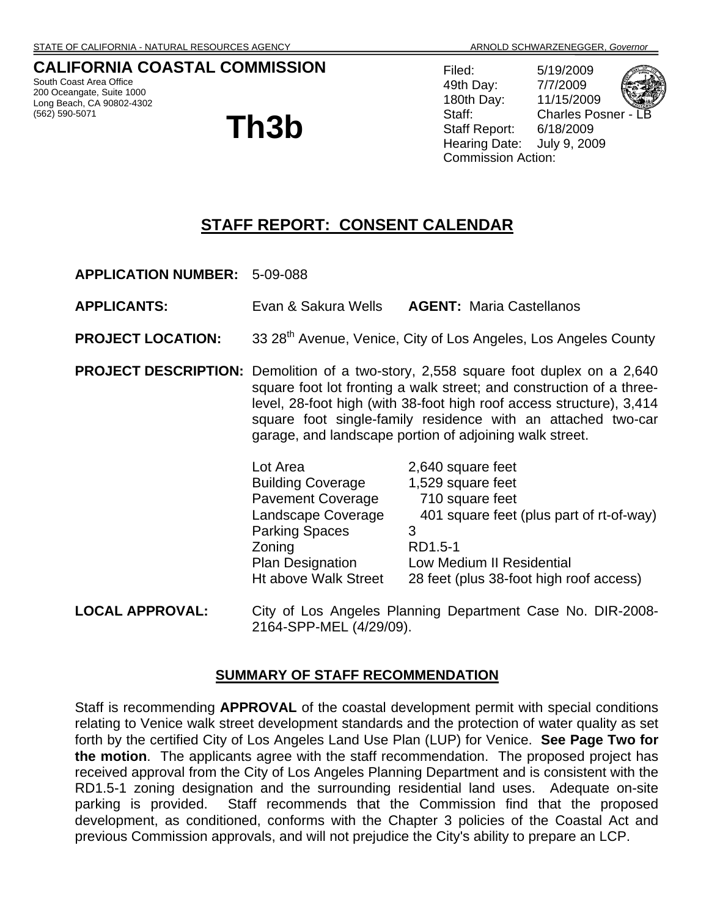## **CALIFORNIA COASTAL COMMISSION**

South Coast Area Office 200 Oceangate, Suite 1000 Long Beach, CA 90802-4302 (562) 590-5071

# **Th3b**

Filed: 5/19/2009 49th Day: 7/7/2009 180th Day: 11/15/2009 Staff: Charles Posner Staff Report: 6/18/2009 Hearing Date: July 9, 2009 Commission Action:

# **STAFF REPORT: CONSENT CALENDAR**

**APPLICATION NUMBER:** 5-09-088

- **APPLICANTS:** Evan & Sakura Wells **AGENT:** Maria Castellanos
- **PROJECT LOCATION:** 33 28<sup>th</sup> Avenue, Venice, City of Los Angeles, Los Angeles County
- **PROJECT DESCRIPTION:** Demolition of a two-story, 2,558 square foot duplex on a 2,640 square foot lot fronting a walk street; and construction of a threelevel, 28-foot high (with 38-foot high roof access structure), 3,414 square foot single-family residence with an attached two-car garage, and landscape portion of adjoining walk street.

| Lot Area                 | 2,640 square feet                        |
|--------------------------|------------------------------------------|
| <b>Building Coverage</b> | 1,529 square feet                        |
| <b>Pavement Coverage</b> | 710 square feet                          |
| Landscape Coverage       | 401 square feet (plus part of rt-of-way) |
| <b>Parking Spaces</b>    |                                          |
| Zoning                   | RD1.5-1                                  |
| <b>Plan Designation</b>  | Low Medium II Residential                |
| Ht above Walk Street     | 28 feet (plus 38-foot high roof access)  |
|                          |                                          |

**LOCAL APPROVAL:** City of Los Angeles Planning Department Case No. DIR-2008- 2164-SPP-MEL (4/29/09).

#### **SUMMARY OF STAFF RECOMMENDATION**

Staff is recommending **APPROVAL** of the coastal development permit with special conditions relating to Venice walk street development standards and the protection of water quality as set forth by the certified City of Los Angeles Land Use Plan (LUP) for Venice. **See Page Two for the motion**. The applicants agree with the staff recommendation. The proposed project has received approval from the City of Los Angeles Planning Department and is consistent with the RD1.5-1 zoning designation and the surrounding residential land uses. Adequate on-site parking is provided. Staff recommends that the Commission find that the proposed development, as conditioned, conforms with the Chapter 3 policies of the Coastal Act and previous Commission approvals, and will not prejudice the City's ability to prepare an LCP.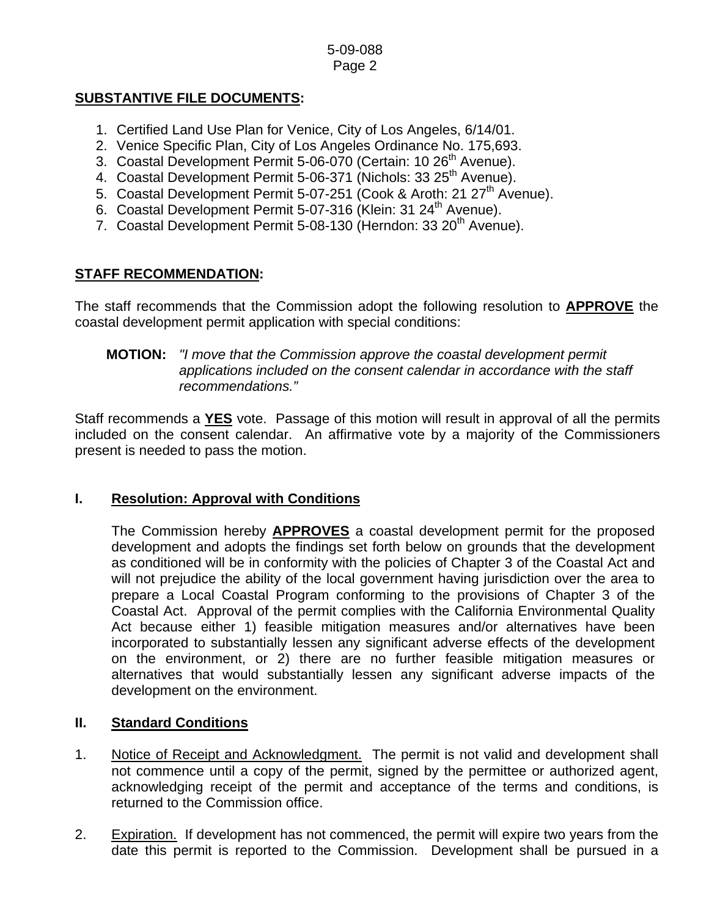## **SUBSTANTIVE FILE DOCUMENTS:**

- 1. Certified Land Use Plan for Venice, City of Los Angeles, 6/14/01.
- 2. Venice Specific Plan, City of Los Angeles Ordinance No. 175,693.
- 3. Coastal Development Permit 5-06-070 (Certain: 10 26<sup>th</sup> Avenue).
- 4. Coastal Development Permit 5-06-371 (Nichols: 33 25<sup>th</sup> Avenue).
- 5. Coastal Development Permit 5-07-251 (Cook & Aroth: 21 27<sup>th</sup> Avenue).
- 6. Coastal Development Permit 5-07-316 (Klein: 31 24<sup>th</sup> Avenue).
- 7. Coastal Development Permit 5-08-130 (Herndon: 33 20<sup>th</sup> Avenue).

## **STAFF RECOMMENDATION:**

The staff recommends that the Commission adopt the following resolution to **APPROVE** the coastal development permit application with special conditions:

#### **MOTION:** *"I move that the Commission approve the coastal development permit applications included on the consent calendar in accordance with the staff recommendations."*

Staff recommends a **YES** vote. Passage of this motion will result in approval of all the permits included on the consent calendar. An affirmative vote by a majority of the Commissioners present is needed to pass the motion.

#### **I. Resolution: Approval with Conditions**

The Commission hereby **APPROVES** a coastal development permit for the proposed development and adopts the findings set forth below on grounds that the development as conditioned will be in conformity with the policies of Chapter 3 of the Coastal Act and will not prejudice the ability of the local government having jurisdiction over the area to prepare a Local Coastal Program conforming to the provisions of Chapter 3 of the Coastal Act. Approval of the permit complies with the California Environmental Quality Act because either 1) feasible mitigation measures and/or alternatives have been incorporated to substantially lessen any significant adverse effects of the development on the environment, or 2) there are no further feasible mitigation measures or alternatives that would substantially lessen any significant adverse impacts of the development on the environment.

#### **II. Standard Conditions**

- 1. Notice of Receipt and Acknowledgment. The permit is not valid and development shall not commence until a copy of the permit, signed by the permittee or authorized agent, acknowledging receipt of the permit and acceptance of the terms and conditions, is returned to the Commission office.
- 2. Expiration. If development has not commenced, the permit will expire two years from the date this permit is reported to the Commission. Development shall be pursued in a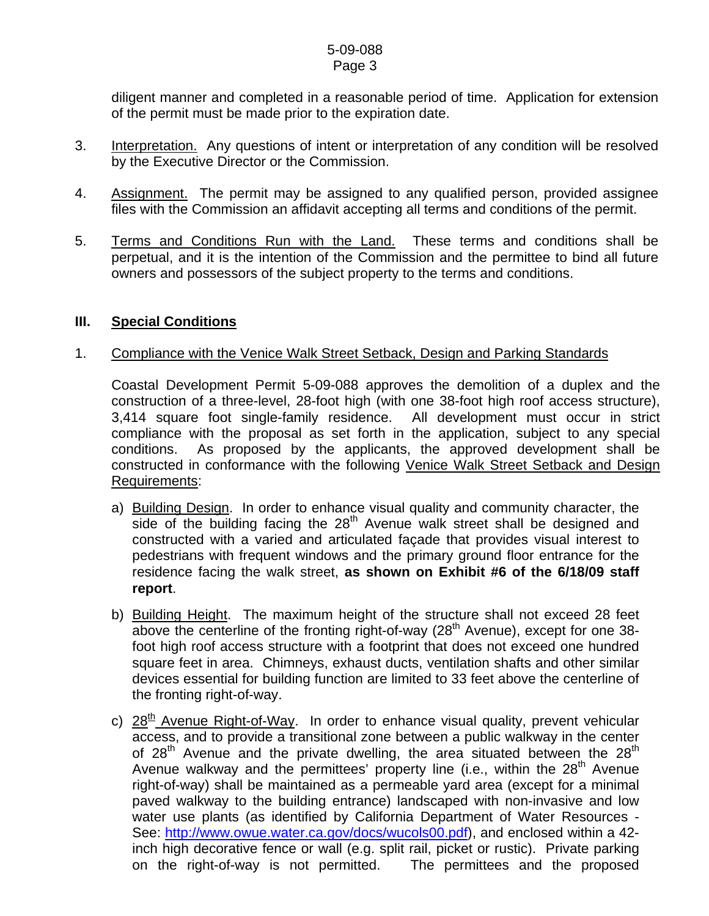diligent manner and completed in a reasonable period of time. Application for extension of the permit must be made prior to the expiration date.

- 3. Interpretation. Any questions of intent or interpretation of any condition will be resolved by the Executive Director or the Commission.
- 4. Assignment. The permit may be assigned to any qualified person, provided assignee files with the Commission an affidavit accepting all terms and conditions of the permit.
- 5. Terms and Conditions Run with the Land. These terms and conditions shall be perpetual, and it is the intention of the Commission and the permittee to bind all future owners and possessors of the subject property to the terms and conditions.

#### **III. Special Conditions**

#### 1. Compliance with the Venice Walk Street Setback, Design and Parking Standards

 Coastal Development Permit 5-09-088 approves the demolition of a duplex and the construction of a three-level, 28-foot high (with one 38-foot high roof access structure), 3,414 square foot single-family residence. All development must occur in strict compliance with the proposal as set forth in the application, subject to any special conditions. As proposed by the applicants, the approved development shall be constructed in conformance with the following Venice Walk Street Setback and Design Requirements:

- a) Building Design. In order to enhance visual quality and community character, the side of the building facing the  $28<sup>th</sup>$  Avenue walk street shall be designed and constructed with a varied and articulated façade that provides visual interest to pedestrians with frequent windows and the primary ground floor entrance for the residence facing the walk street, **as shown on Exhibit #6 of the 6/18/09 staff report**.
- b) Building Height. The maximum height of the structure shall not exceed 28 feet above the centerline of the fronting right-of-way  $(28<sup>th</sup>$  Avenue), except for one 38foot high roof access structure with a footprint that does not exceed one hundred square feet in area. Chimneys, exhaust ducts, ventilation shafts and other similar devices essential for building function are limited to 33 feet above the centerline of the fronting right-of-way.
- c)  $28<sup>th</sup>$  Avenue Right-of-Way. In order to enhance visual quality, prevent vehicular access, and to provide a transitional zone between a public walkway in the center of  $28<sup>th</sup>$  Avenue and the private dwelling, the area situated between the  $28<sup>th</sup>$ Avenue walkway and the permittees' property line (i.e., within the  $28<sup>th</sup>$  Avenue right-of-way) shall be maintained as a permeable yard area (except for a minimal paved walkway to the building entrance) landscaped with non-invasive and low water use plants (as identified by California Department of Water Resources - See: <http://www.owue.water.ca.gov/docs/wucols00.pdf>), and enclosed within a 42 inch high decorative fence or wall (e.g. split rail, picket or rustic). Private parking on the right-of-way is not permitted. The permittees and the proposed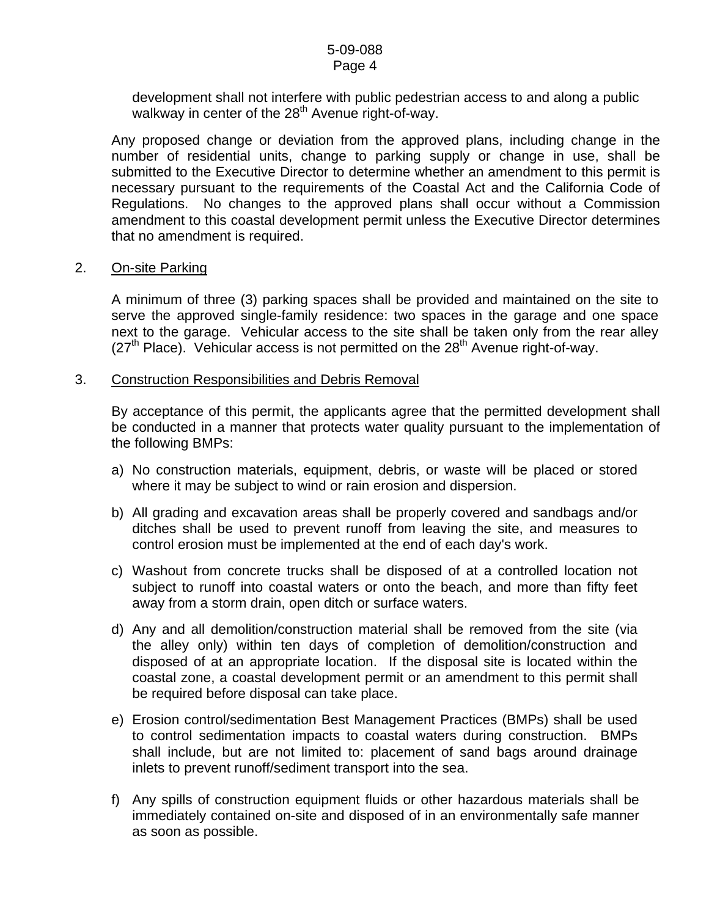development shall not interfere with public pedestrian access to and along a public walkway in center of the  $28<sup>th</sup>$  Avenue right-of-way.

Any proposed change or deviation from the approved plans, including change in the number of residential units, change to parking supply or change in use, shall be submitted to the Executive Director to determine whether an amendment to this permit is necessary pursuant to the requirements of the Coastal Act and the California Code of Regulations. No changes to the approved plans shall occur without a Commission amendment to this coastal development permit unless the Executive Director determines that no amendment is required.

#### 2. On-site Parking

A minimum of three (3) parking spaces shall be provided and maintained on the site to serve the approved single-family residence: two spaces in the garage and one space next to the garage. Vehicular access to the site shall be taken only from the rear alley  $(27<sup>th</sup>$  Place). Vehicular access is not permitted on the  $28<sup>th</sup>$  Avenue right-of-way.

#### 3. Construction Responsibilities and Debris Removal

By acceptance of this permit, the applicants agree that the permitted development shall be conducted in a manner that protects water quality pursuant to the implementation of the following BMPs:

- a) No construction materials, equipment, debris, or waste will be placed or stored where it may be subject to wind or rain erosion and dispersion.
- b) All grading and excavation areas shall be properly covered and sandbags and/or ditches shall be used to prevent runoff from leaving the site, and measures to control erosion must be implemented at the end of each day's work.
- c) Washout from concrete trucks shall be disposed of at a controlled location not subject to runoff into coastal waters or onto the beach, and more than fifty feet away from a storm drain, open ditch or surface waters.
- d) Any and all demolition/construction material shall be removed from the site (via the alley only) within ten days of completion of demolition/construction and disposed of at an appropriate location. If the disposal site is located within the coastal zone, a coastal development permit or an amendment to this permit shall be required before disposal can take place.
- e) Erosion control/sedimentation Best Management Practices (BMPs) shall be used to control sedimentation impacts to coastal waters during construction. BMPs shall include, but are not limited to: placement of sand bags around drainage inlets to prevent runoff/sediment transport into the sea.
- f) Any spills of construction equipment fluids or other hazardous materials shall be immediately contained on-site and disposed of in an environmentally safe manner as soon as possible.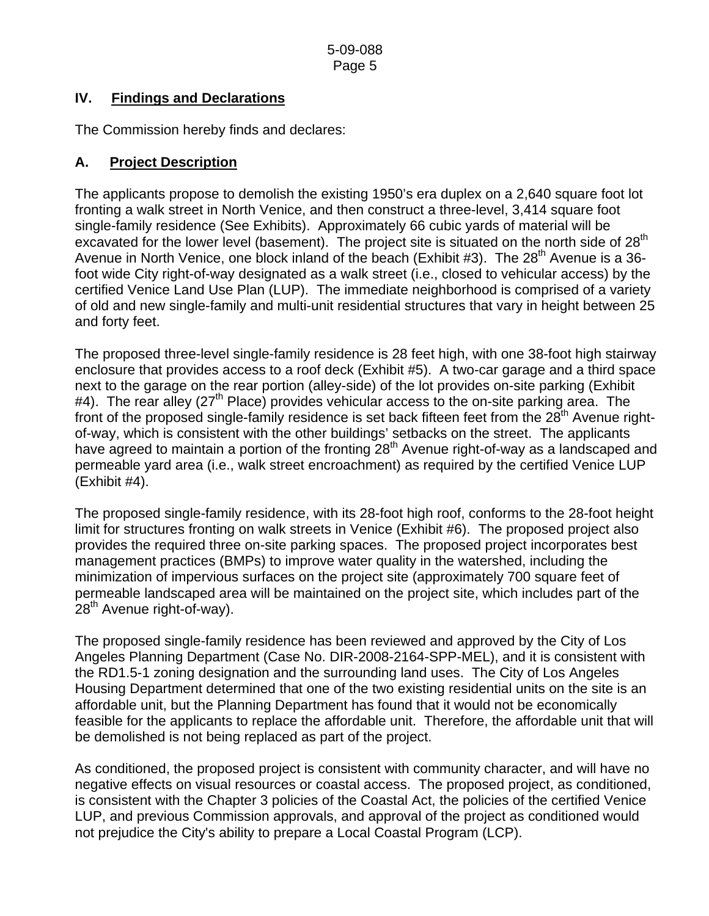## **IV. Findings and Declarations**

The Commission hereby finds and declares:

## **A. Project Description**

The applicants propose to demolish the existing 1950's era duplex on a 2,640 square foot lot fronting a walk street in North Venice, and then construct a three-level, 3,414 square foot single-family residence (See Exhibits). Approximately 66 cubic yards of material will be excavated for the lower level (basement). The project site is situated on the north side of  $28<sup>th</sup>$ Avenue in North Venice, one block inland of the beach (Exhibit #3). The  $28<sup>th</sup>$  Avenue is a 36foot wide City right-of-way designated as a walk street (i.e., closed to vehicular access) by the certified Venice Land Use Plan (LUP). The immediate neighborhood is comprised of a variety of old and new single-family and multi-unit residential structures that vary in height between 25 and forty feet.

The proposed three-level single-family residence is 28 feet high, with one 38-foot high stairway enclosure that provides access to a roof deck (Exhibit #5). A two-car garage and a third space next to the garage on the rear portion (alley-side) of the lot provides on-site parking (Exhibit  $#4$ ). The rear alley (27<sup>th</sup> Place) provides vehicular access to the on-site parking area. The front of the proposed single-family residence is set back fifteen feet from the  $28<sup>th</sup>$  Avenue rightof-way, which is consistent with the other buildings' setbacks on the street. The applicants have agreed to maintain a portion of the fronting  $28<sup>th</sup>$  Avenue right-of-way as a landscaped and permeable yard area (i.e., walk street encroachment) as required by the certified Venice LUP (Exhibit #4).

The proposed single-family residence, with its 28-foot high roof, conforms to the 28-foot height limit for structures fronting on walk streets in Venice (Exhibit #6). The proposed project also provides the required three on-site parking spaces. The proposed project incorporates best management practices (BMPs) to improve water quality in the watershed, including the minimization of impervious surfaces on the project site (approximately 700 square feet of permeable landscaped area will be maintained on the project site, which includes part of the 28<sup>th</sup> Avenue right-of-way).

The proposed single-family residence has been reviewed and approved by the City of Los Angeles Planning Department (Case No. DIR-2008-2164-SPP-MEL), and it is consistent with the RD1.5-1 zoning designation and the surrounding land uses. The City of Los Angeles Housing Department determined that one of the two existing residential units on the site is an affordable unit, but the Planning Department has found that it would not be economically feasible for the applicants to replace the affordable unit. Therefore, the affordable unit that will be demolished is not being replaced as part of the project.

As conditioned, the proposed project is consistent with community character, and will have no negative effects on visual resources or coastal access. The proposed project, as conditioned, is consistent with the Chapter 3 policies of the Coastal Act, the policies of the certified Venice LUP, and previous Commission approvals, and approval of the project as conditioned would not prejudice the City's ability to prepare a Local Coastal Program (LCP).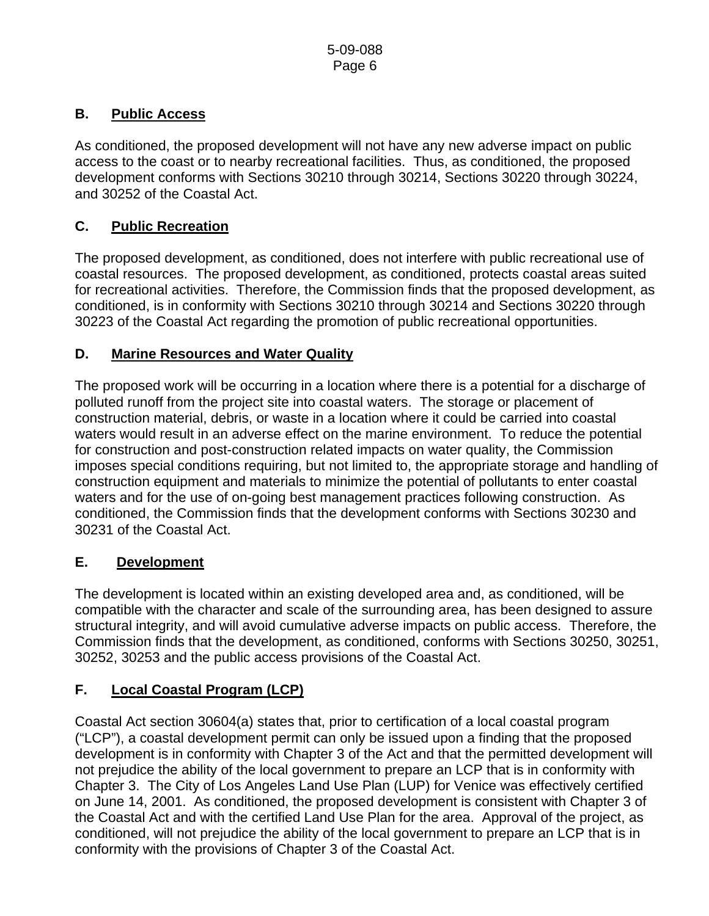## **B. Public Access**

As conditioned, the proposed development will not have any new adverse impact on public access to the coast or to nearby recreational facilities. Thus, as conditioned, the proposed development conforms with Sections 30210 through 30214, Sections 30220 through 30224, and 30252 of the Coastal Act.

## **C. Public Recreation**

The proposed development, as conditioned, does not interfere with public recreational use of coastal resources. The proposed development, as conditioned, protects coastal areas suited for recreational activities. Therefore, the Commission finds that the proposed development, as conditioned, is in conformity with Sections 30210 through 30214 and Sections 30220 through 30223 of the Coastal Act regarding the promotion of public recreational opportunities.

## **D. Marine Resources and Water Quality**

The proposed work will be occurring in a location where there is a potential for a discharge of polluted runoff from the project site into coastal waters. The storage or placement of construction material, debris, or waste in a location where it could be carried into coastal waters would result in an adverse effect on the marine environment. To reduce the potential for construction and post-construction related impacts on water quality, the Commission imposes special conditions requiring, but not limited to, the appropriate storage and handling of construction equipment and materials to minimize the potential of pollutants to enter coastal waters and for the use of on-going best management practices following construction. As conditioned, the Commission finds that the development conforms with Sections 30230 and 30231 of the Coastal Act.

# **E. Development**

The development is located within an existing developed area and, as conditioned, will be compatible with the character and scale of the surrounding area, has been designed to assure structural integrity, and will avoid cumulative adverse impacts on public access. Therefore, the Commission finds that the development, as conditioned, conforms with Sections 30250, 30251, 30252, 30253 and the public access provisions of the Coastal Act.

# **F. Local Coastal Program (LCP)**

Coastal Act section 30604(a) states that, prior to certification of a local coastal program ("LCP"), a coastal development permit can only be issued upon a finding that the proposed development is in conformity with Chapter 3 of the Act and that the permitted development will not prejudice the ability of the local government to prepare an LCP that is in conformity with Chapter 3. The City of Los Angeles Land Use Plan (LUP) for Venice was effectively certified on June 14, 2001. As conditioned, the proposed development is consistent with Chapter 3 of the Coastal Act and with the certified Land Use Plan for the area. Approval of the project, as conditioned, will not prejudice the ability of the local government to prepare an LCP that is in conformity with the provisions of Chapter 3 of the Coastal Act.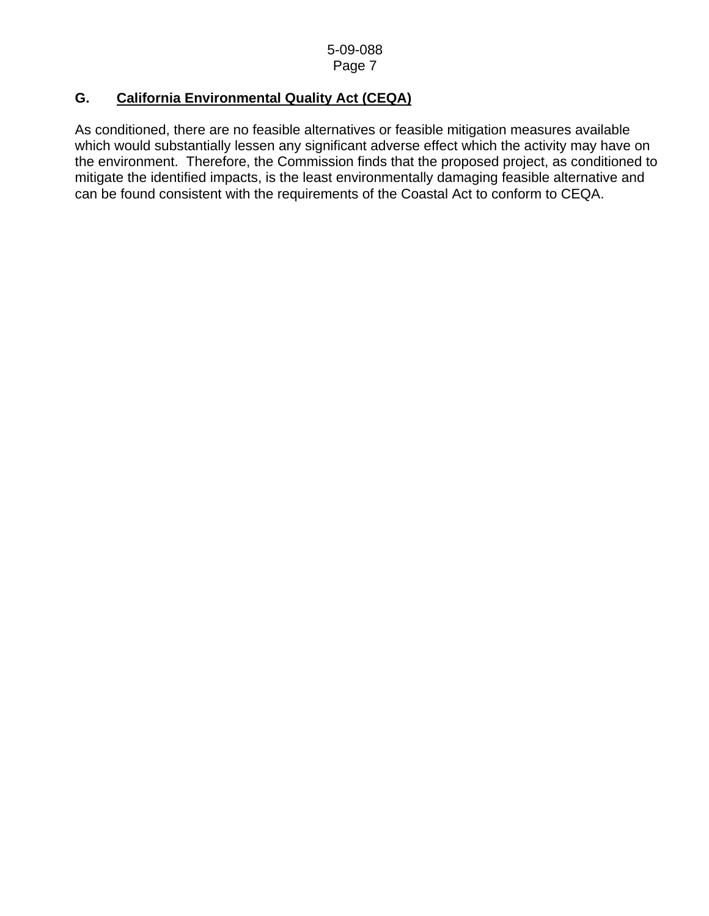## **G. California Environmental Quality Act (CEQA)**

As conditioned, there are no feasible alternatives or feasible mitigation measures available which would substantially lessen any significant adverse effect which the activity may have on the environment. Therefore, the Commission finds that the proposed project, as conditioned to mitigate the identified impacts, is the least environmentally damaging feasible alternative and can be found consistent with the requirements of the Coastal Act to conform to CEQA.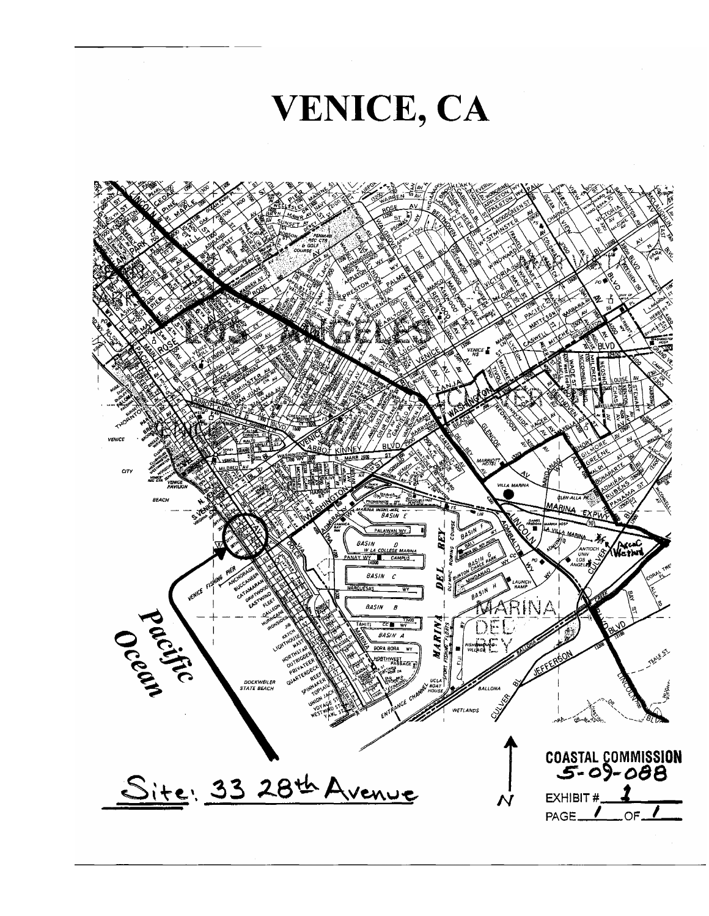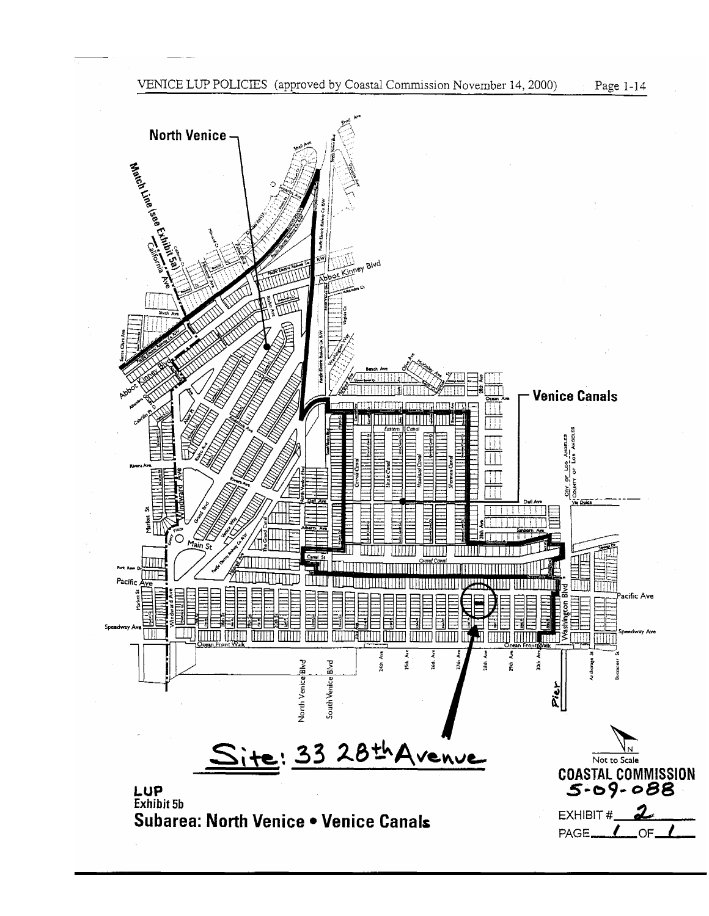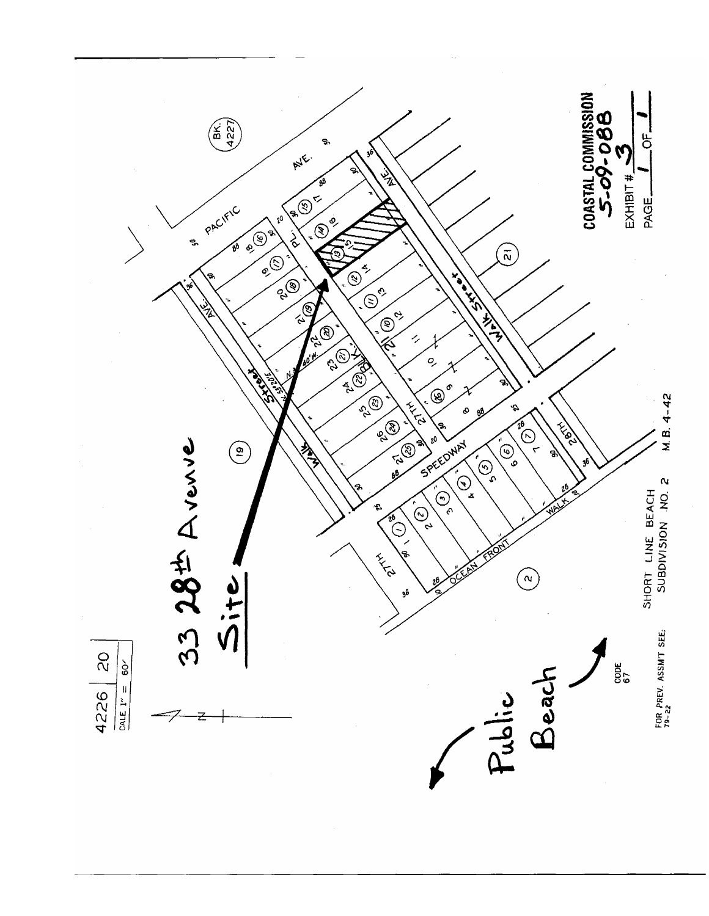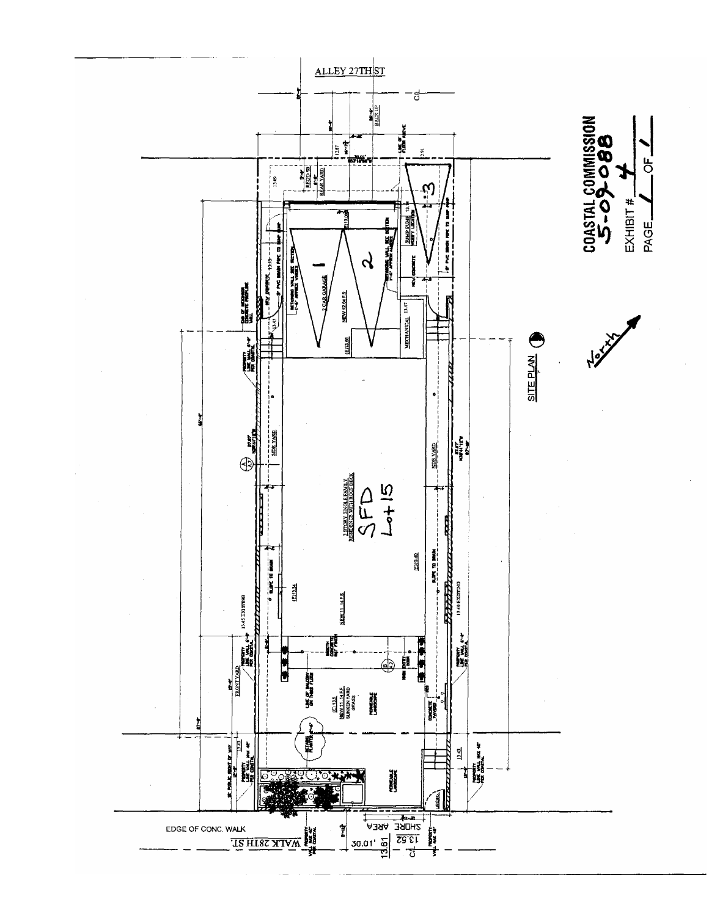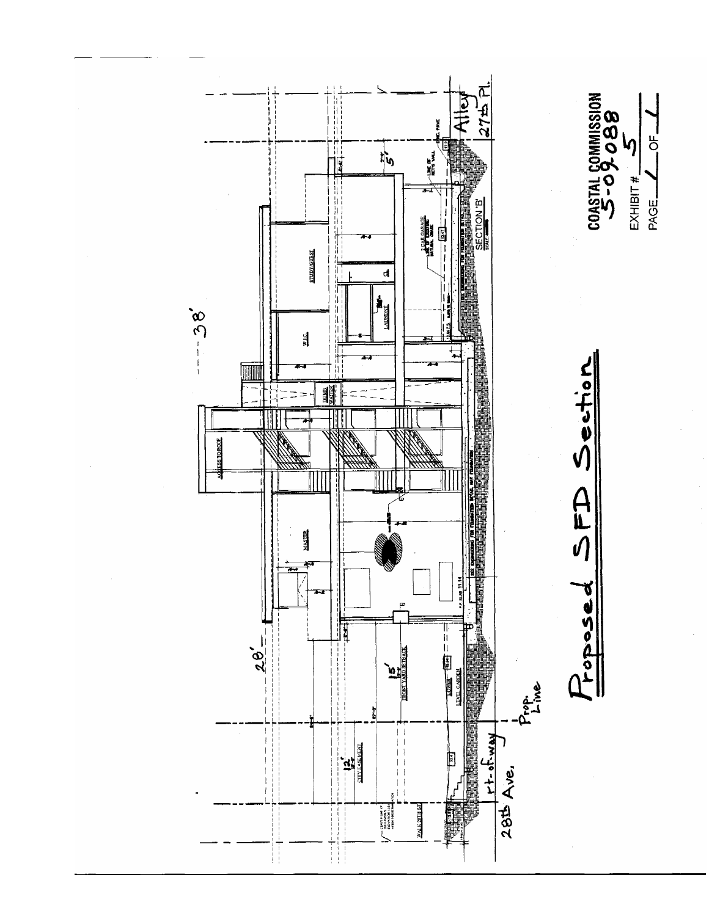